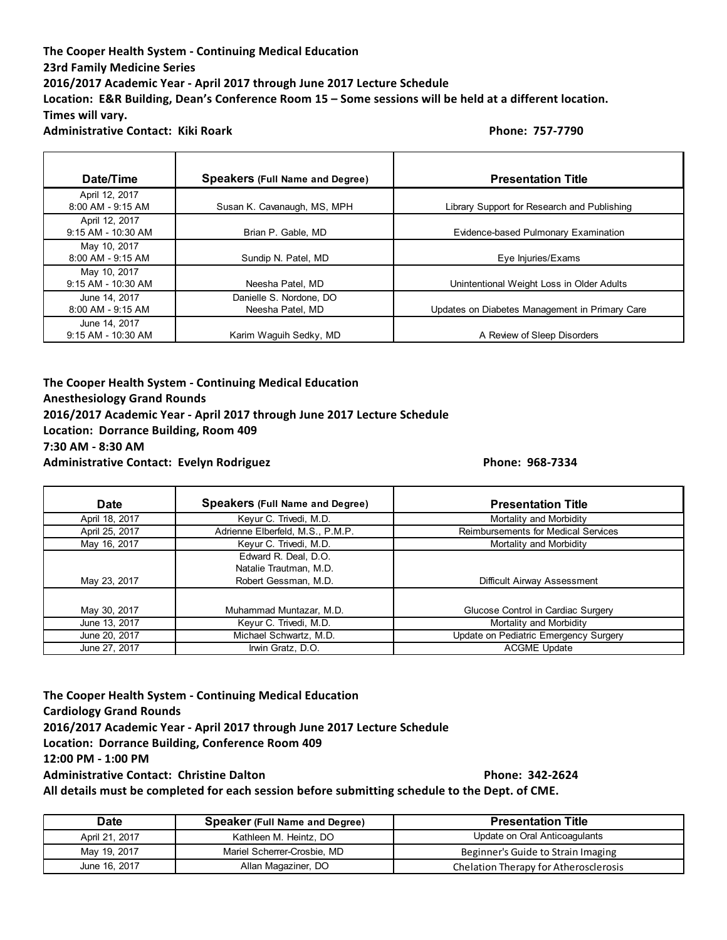**The Cooper Health System - Continuing Medical Education 23rd Family Medicine Series 2016/2017 Academic Year - April 2017 through June 2017 Lecture Schedule**  Location: E&R Building, Dean's Conference Room 15 - Some sessions will be held at a different location. **Times will vary. Administrative Contact: Kiki Roark Phone: 757-7790** 

| Date/Time              | Speakers (Full Name and Degree) | <b>Presentation Title</b>                      |
|------------------------|---------------------------------|------------------------------------------------|
| April 12, 2017         |                                 |                                                |
| 8:00 AM - 9:15 AM      | Susan K. Cavanaugh, MS, MPH     | Library Support for Research and Publishing    |
| April 12, 2017         |                                 |                                                |
| 9:15 AM - 10:30 AM     | Brian P. Gable, MD              | Evidence-based Pulmonary Examination           |
| May 10, 2017           |                                 |                                                |
| 8:00 AM - 9:15 AM      | Sundip N. Patel, MD             | Eye Injuries/Exams                             |
| May 10, 2017           |                                 |                                                |
| 9:15 AM - 10:30 AM     | Neesha Patel, MD                | Unintentional Weight Loss in Older Adults      |
| June 14, 2017          | Danielle S. Nordone, DO         |                                                |
| 8:00 AM - 9:15 AM      | Neesha Patel, MD                | Updates on Diabetes Management in Primary Care |
| June 14, 2017          |                                 |                                                |
| $9:15$ AM - $10:30$ AM | Karim Waquih Sedky, MD          | A Review of Sleep Disorders                    |

**The Cooper Health System - Continuing Medical Education Anesthesiology Grand Rounds 2016/2017 Academic Year - April 2017 through June 2017 Lecture Schedule** Location: Dorrance Building, Room 409 **7:30 AM - 8:30 AM** Administrative Contact: Evelyn Rodriguez **Administrative Contact:** Evelyn Rodriguez **Administrative** Contact: Evelyn Rodriguez

| <b>Date</b>    | Speakers (Full Name and Degree)  | <b>Presentation Title</b>                  |
|----------------|----------------------------------|--------------------------------------------|
| April 18, 2017 | Keyur C. Trivedi, M.D.           | Mortality and Morbidity                    |
| April 25, 2017 | Adrienne Elberfeld, M.S., P.M.P. | <b>Reimbursements for Medical Services</b> |
| May 16, 2017   | Keyur C. Trivedi, M.D.           | Mortality and Morbidity                    |
|                | Edward R. Deal, D.O.             |                                            |
|                | Natalie Trautman, M.D.           |                                            |
| May 23, 2017   | Robert Gessman, M.D.             | Difficult Airway Assessment                |
|                |                                  |                                            |
| May 30, 2017   | Muhammad Muntazar, M.D.          | Glucose Control in Cardiac Surgery         |
| June 13, 2017  | Keyur C. Trivedi, M.D.           | Mortality and Morbidity                    |
| June 20, 2017  | Michael Schwartz, M.D.           | Update on Pediatric Emergency Surgery      |
| June 27, 2017  | Irwin Gratz, D.O.                | <b>ACGME Update</b>                        |

**The Cooper Health System - Continuing Medical Education Cardiology Grand Rounds 2016/2017 Academic Year - April 2017 through June 2017 Lecture Schedule** Location: Dorrance Building, Conference Room 409 **12:00 PM - 1:00 PM** Administrative Contact: Christine Dalton **Account 10 and Contact:** Christine Dalton **and Contact:** 0 and Contact: 0 and Contact: 0 and Contact: 0 and Contact: 0 and Contact: 0 and Contact: 0 and Contact: 0 and Contact: 0 a

| Date           | <b>Speaker (Full Name and Degree)</b> | <b>Presentation Title</b>             |
|----------------|---------------------------------------|---------------------------------------|
| April 21, 2017 | Kathleen M. Heintz. DO                | Update on Oral Anticoagulants         |
| May 19, 2017   | Mariel Scherrer-Crosbie, MD           | Beginner's Guide to Strain Imaging    |
| June 16, 2017  | Allan Magaziner, DO                   | Chelation Therapy for Atherosclerosis |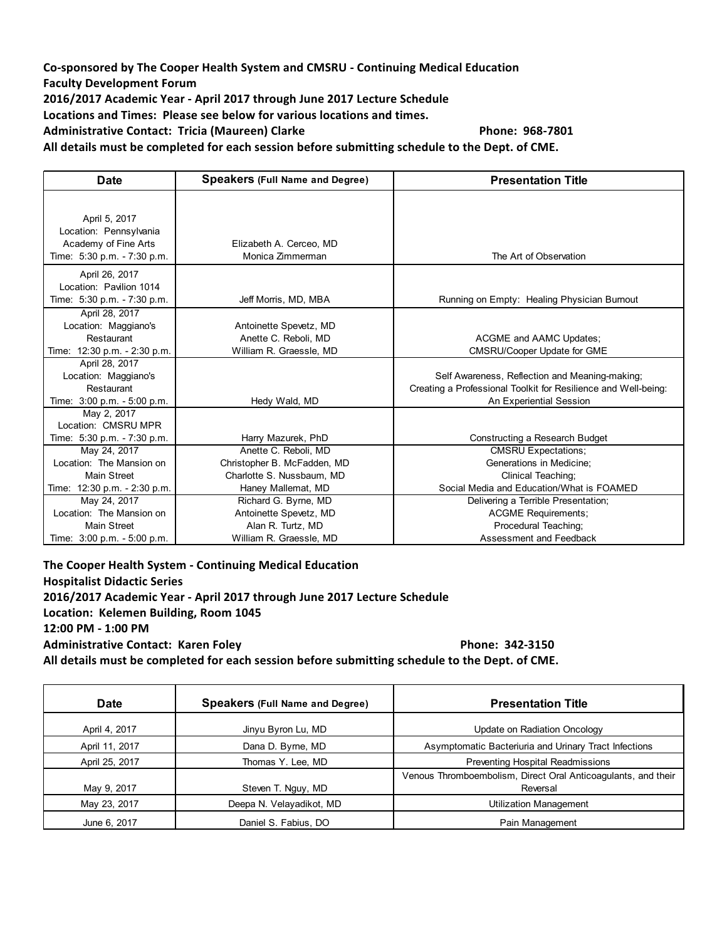**Co-sponsored by The Cooper Health System and CMSRU - Continuing Medical Education Faculty Development Forum**

**2016/2017 Academic Year - April 2017 through June 2017 Lecture Schedule**

Locations and Times: Please see below for various locations and times.

**Administrative Contact: Tricia (Maureen) Clarke Phone: 968-7801**

All details must be completed for each session before submitting schedule to the Dept. of CME.

| <b>Date</b>                                                                                    | <b>Speakers (Full Name and Degree)</b>                                                                 | <b>Presentation Title</b>                                                                                                                   |
|------------------------------------------------------------------------------------------------|--------------------------------------------------------------------------------------------------------|---------------------------------------------------------------------------------------------------------------------------------------------|
| April 5, 2017<br>Location: Pennsylvania<br>Academy of Fine Arts<br>Time: 5:30 p.m. - 7:30 p.m. | Elizabeth A. Cerceo, MD<br>Monica Zimmerman                                                            | The Art of Observation                                                                                                                      |
| April 26, 2017<br>Location: Pavilion 1014<br>Time: 5:30 p.m. - 7:30 p.m.                       | Jeff Morris, MD, MBA                                                                                   | Running on Empty: Healing Physician Burnout                                                                                                 |
| April 28, 2017<br>Location: Maggiano's<br>Restaurant<br>Time: 12:30 p.m. - 2:30 p.m.           | Antoinette Spevetz, MD<br>Anette C. Reboli, MD<br>William R. Graessle, MD                              | ACGME and AAMC Updates;<br>CMSRU/Cooper Update for GME                                                                                      |
| April 28, 2017<br>Location: Maggiano's<br>Restaurant<br>Time: 3:00 p.m. - 5:00 p.m.            | Hedy Wald, MD                                                                                          | Self Awareness, Reflection and Meaning-making;<br>Creating a Professional Toolkit for Resilience and Well-being:<br>An Experiential Session |
| May 2, 2017<br>Location: CMSRU MPR<br>Time: 5:30 p.m. - 7:30 p.m.                              | Harry Mazurek, PhD                                                                                     | Constructing a Research Budget                                                                                                              |
| May 24, 2017<br>Location: The Mansion on<br>Main Street<br>Time: 12:30 p.m. - 2:30 p.m.        | Anette C. Reboli, MD<br>Christopher B. McFadden, MD<br>Charlotte S. Nussbaum. MD<br>Haney Mallemat, MD | <b>CMSRU Expectations;</b><br>Generations in Medicine:<br>Clinical Teaching;<br>Social Media and Education/What is FOAMED                   |
| May 24, 2017<br>Location: The Mansion on<br>Main Street<br>Time: 3:00 p.m. - 5:00 p.m.         | Richard G. Byrne, MD<br>Antoinette Spevetz, MD<br>Alan R. Turtz, MD<br>William R. Graessle, MD         | Delivering a Terrible Presentation;<br><b>ACGME Requirements;</b><br>Procedural Teaching;<br>Assessment and Feedback                        |

**The Cooper Health System - Continuing Medical Education Hospitalist Didactic Series 2016/2017 Academic Year - April 2017 through June 2017 Lecture Schedule** Location: Kelemen Building, Room 1045 **12:00 PM - 1:00 PM** Administrative Contact: Karen Foley **Accuracy 1848** 2011 12 Phone: 342-3150 All details must be completed for each session before submitting schedule to the Dept. of CME.

**Date Speakers (Full Name and Degree) Presentation Title** April 4, 2017 | Jinyu Byron Lu, MD | Update on Radiation Oncology April 11, 2017 **Dana D. Byrne, MD** Asymptomatic Bacteriuria and Urinary Tract Infections April 25, 2017 **Thomas Y. Lee, MD Preventing Hospital Readmissions** May 9, 2017 **Steven T. Nguy, MD** Venous Thromboembolism, Direct Oral Anticoagulants, and their Reversal May 23, 2017 **Deepa N. Velayadikot, MD New York Construction Management** June 6, 2017 Daniel S. Fabius, DO Pain Management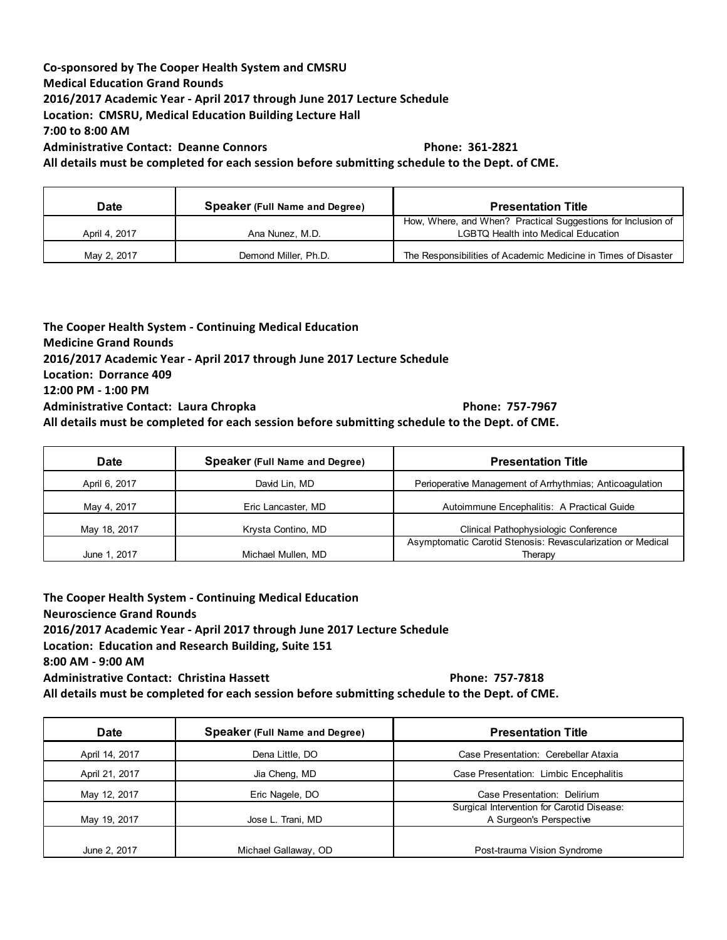**Co-sponsored by The Cooper Health System and CMSRU Medical Education Grand Rounds 2016/2017 Academic Year - April 2017 through June 2017 Lecture Schedule Location: CMSRU, Medical Education Building Lecture Hall 7:00 to 8:00 AM Administrative Contact: Deanne Connors Phone: 361-2821**

 $\blacksquare$ 

All details must be completed for each session before submitting schedule to the Dept. of CME.

| <b>Date</b>   | <b>Speaker (Full Name and Degree)</b> | <b>Presentation Title</b>                                      |
|---------------|---------------------------------------|----------------------------------------------------------------|
|               |                                       | How, Where, and When? Practical Suggestions for Inclusion of   |
| April 4, 2017 | Ana Nunez, M.D.                       | <b>LGBTQ Health into Medical Education</b>                     |
| May 2, 2017   | Demond Miller, Ph.D.                  | The Responsibilities of Academic Medicine in Times of Disaster |

**The Cooper Health System - Continuing Medical Education Medicine Grand Rounds 2016/2017 Academic Year - April 2017 through June 2017 Lecture Schedule** Location: Dorrance 409 **12:00 PM - 1:00 PM Administrative Contact: Laura Chropka Phone: 757-7967** All details must be completed for each session before submitting schedule to the Dept. of CME.

| Date          | <b>Speaker (Full Name and Degree)</b> | <b>Presentation Title</b>                                   |
|---------------|---------------------------------------|-------------------------------------------------------------|
| April 6, 2017 | David Lin, MD                         | Perioperative Management of Arrhythmias; Anticoagulation    |
| May 4, 2017   | Eric Lancaster, MD                    | Autoimmune Encephalitis: A Practical Guide                  |
| May 18, 2017  | Krysta Contino, MD                    | Clinical Pathophysiologic Conference                        |
|               |                                       | Asymptomatic Carotid Stenosis: Revascularization or Medical |
| June 1, 2017  | Michael Mullen, MD                    | Therapy                                                     |

**The Cooper Health System - Continuing Medical Education Neuroscience Grand Rounds 2016/2017 Academic Year - April 2017 through June 2017 Lecture Schedule** Location: Education and Research Building, Suite 151 **8:00 AM - 9:00 AM Administrative Contact: Christina Hassett Phone: 757-7818**

| <b>Date</b>    | <b>Speaker (Full Name and Degree)</b> | <b>Presentation Title</b>                                             |
|----------------|---------------------------------------|-----------------------------------------------------------------------|
| April 14, 2017 | Dena Little, DO                       | Case Presentation: Cerebellar Ataxia                                  |
| April 21, 2017 | Jia Cheng, MD                         | Case Presentation: Limbic Encephalitis                                |
| May 12, 2017   | Eric Nagele, DO                       | Case Presentation: Delirium                                           |
| May 19, 2017   | Jose L. Trani, MD                     | Surgical Intervention for Carotid Disease:<br>A Surgeon's Perspective |
| June 2, 2017   | Michael Gallaway, OD                  | Post-trauma Vision Syndrome                                           |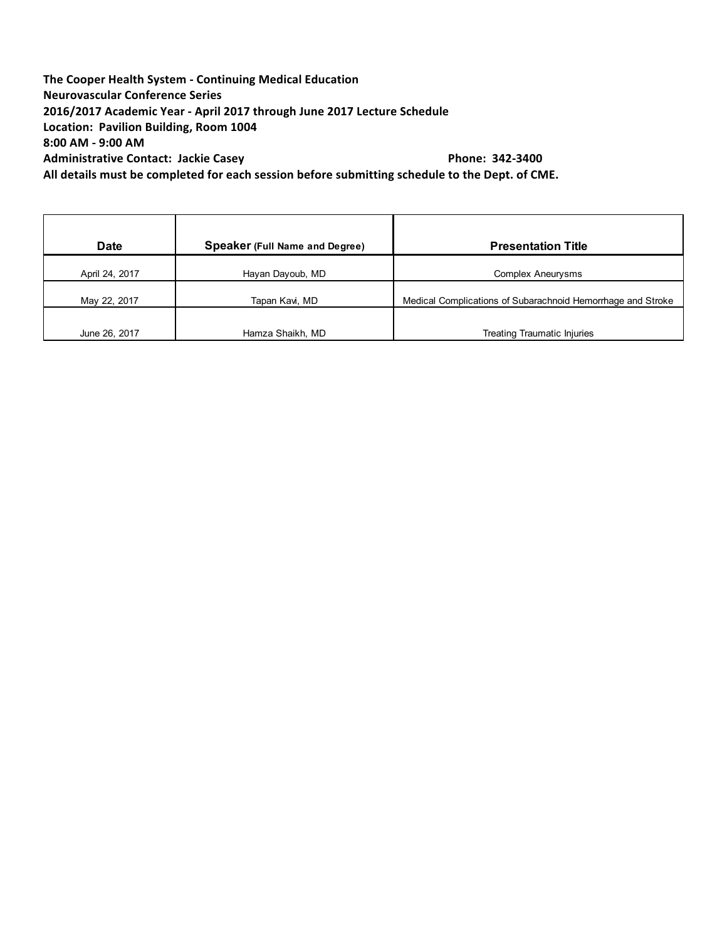**The Cooper Health System - Continuing Medical Education Neurovascular Conference Series 2016/2017 Academic Year - April 2017 through June 2017 Lecture Schedule** Location: Pavilion Building, Room 1004 **8:00 AM - 9:00 AM Administrative Contact: Jackie Casey Phone: 342-3400**

| <b>Date</b>    | <b>Speaker (Full Name and Degree)</b> | <b>Presentation Title</b>                                   |
|----------------|---------------------------------------|-------------------------------------------------------------|
|                |                                       |                                                             |
| April 24, 2017 | Hayan Dayoub, MD                      | Complex Aneurysms                                           |
| May 22, 2017   | Tapan Kavi, MD                        | Medical Complications of Subarachnoid Hemorrhage and Stroke |
|                |                                       |                                                             |
| June 26, 2017  | Hamza Shaikh, MD                      | <b>Treating Traumatic Injuries</b>                          |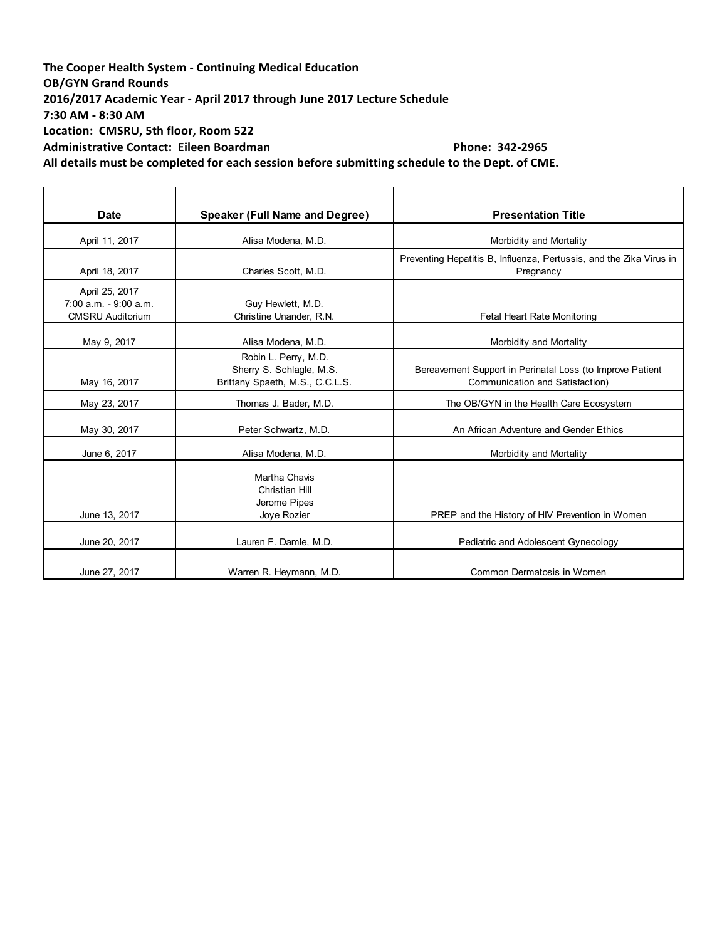**The Cooper Health System - Continuing Medical Education OB/GYN Grand Rounds 2016/2017 Academic Year - April 2017 through June 2017 Lecture Schedule 7:30 AM - 8:30 AM** Location: CMSRU, 5th floor, Room 522 Administrative Contact: Eileen Boardman **Back Contact:** Contact: Eileen Boardman

| <b>Date</b>                                                        | <b>Speaker (Full Name and Degree)</b>                                               | <b>Presentation Title</b>                                                                    |
|--------------------------------------------------------------------|-------------------------------------------------------------------------------------|----------------------------------------------------------------------------------------------|
| April 11, 2017                                                     | Alisa Modena, M.D.                                                                  | Morbidity and Mortality                                                                      |
| April 18, 2017                                                     | Charles Scott, M.D.                                                                 | Preventing Hepatitis B, Influenza, Pertussis, and the Zika Virus in<br>Pregnancy             |
| April 25, 2017<br>7:00 a.m. - 9:00 a.m.<br><b>CMSRU Auditorium</b> | Guy Hewlett, M.D.<br>Christine Unander, R.N.                                        | <b>Fetal Heart Rate Monitoring</b>                                                           |
| May 9, 2017                                                        | Alisa Modena, M.D.                                                                  | Morbidity and Mortality                                                                      |
| May 16, 2017                                                       | Robin L. Perry, M.D.<br>Sherry S. Schlagle, M.S.<br>Brittany Spaeth, M.S., C.C.L.S. | Bereavement Support in Perinatal Loss (to Improve Patient<br>Communication and Satisfaction) |
| May 23, 2017                                                       | Thomas J. Bader, M.D.                                                               | The OB/GYN in the Health Care Ecosystem                                                      |
| May 30, 2017                                                       | Peter Schwartz, M.D.                                                                | An African Adventure and Gender Ethics                                                       |
| June 6, 2017                                                       | Alisa Modena, M.D.                                                                  | Morbidity and Mortality                                                                      |
| June 13, 2017                                                      | Martha Chavis<br>Christian Hill<br>Jerome Pipes<br>Joye Rozier                      | PREP and the History of HIV Prevention in Women                                              |
| June 20, 2017                                                      | Lauren F. Damle, M.D.                                                               | Pediatric and Adolescent Gynecology                                                          |
| June 27, 2017                                                      | Warren R. Heymann, M.D.                                                             | Common Dermatosis in Women                                                                   |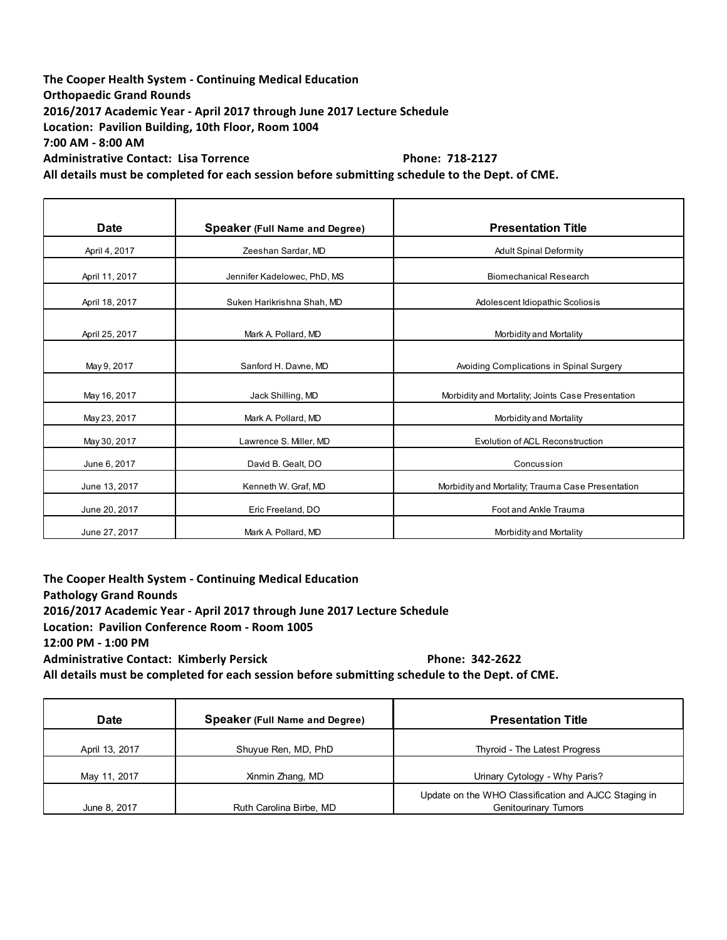**The Cooper Health System - Continuing Medical Education Orthopaedic Grand Rounds 2016/2017 Academic Year - April 2017 through June 2017 Lecture Schedule** Location: Pavilion Building, 10th Floor, Room 1004 **7:00 AM - 8:00 AM** Administrative Contact: Lisa Torrence **1998** 10 and the Phone: 718-2127

All details must be completed for each session before submitting schedule to the Dept. of CME.

| <b>Date</b>    | Speaker (Full Name and Degree) | <b>Presentation Title</b>                         |
|----------------|--------------------------------|---------------------------------------------------|
| April 4, 2017  | Zeeshan Sardar, MD             | <b>Adult Spinal Deformity</b>                     |
| April 11, 2017 | Jennifer Kadelowec, PhD, MS    | <b>Biomechanical Research</b>                     |
| April 18, 2017 | Suken Harikrishna Shah, MD     | Adolescent Idiopathic Scoliosis                   |
| April 25, 2017 | Mark A. Pollard, MD            | Morbidity and Mortality                           |
| May 9, 2017    | Sanford H. Davne, MD           | Avoiding Complications in Spinal Surgery          |
| May 16, 2017   | Jack Shilling, MD              | Morbidity and Mortality; Joints Case Presentation |
| May 23, 2017   | Mark A. Pollard, MD            | Morbidity and Mortality                           |
| May 30, 2017   | Lawrence S. Miller, MD         | Evolution of ACL Reconstruction                   |
| June 6, 2017   | David B. Gealt, DO             | Concussion                                        |
| June 13, 2017  | Kenneth W. Graf, MD            | Morbidity and Mortality; Trauma Case Presentation |
| June 20, 2017  | Eric Freeland, DO              | Foot and Ankle Trauma                             |
| June 27, 2017  | Mark A. Pollard, MD            | Morbidity and Mortality                           |

**The Cooper Health System - Continuing Medical Education Pathology Grand Rounds 2016/2017 Academic Year - April 2017 through June 2017 Lecture Schedule Location: Pavilion Conference Room - Room 1005 12:00 PM - 1:00 PM** Administrative Contact: Kimberly Persick **by Conferent Contact:** Contact: **Ximberly** Persick

| <b>Date</b>    | <b>Speaker (Full Name and Degree)</b> | <b>Presentation Title</b>                                                           |
|----------------|---------------------------------------|-------------------------------------------------------------------------------------|
| April 13, 2017 | Shuyue Ren, MD, PhD                   | Thyroid - The Latest Progress                                                       |
| May 11, 2017   | Xinmin Zhang, MD                      | Urinary Cytology - Why Paris?                                                       |
| June 8, 2017   | Ruth Carolina Birbe, MD               | Update on the WHO Classification and AJCC Staging in<br><b>Genitourinary Tumors</b> |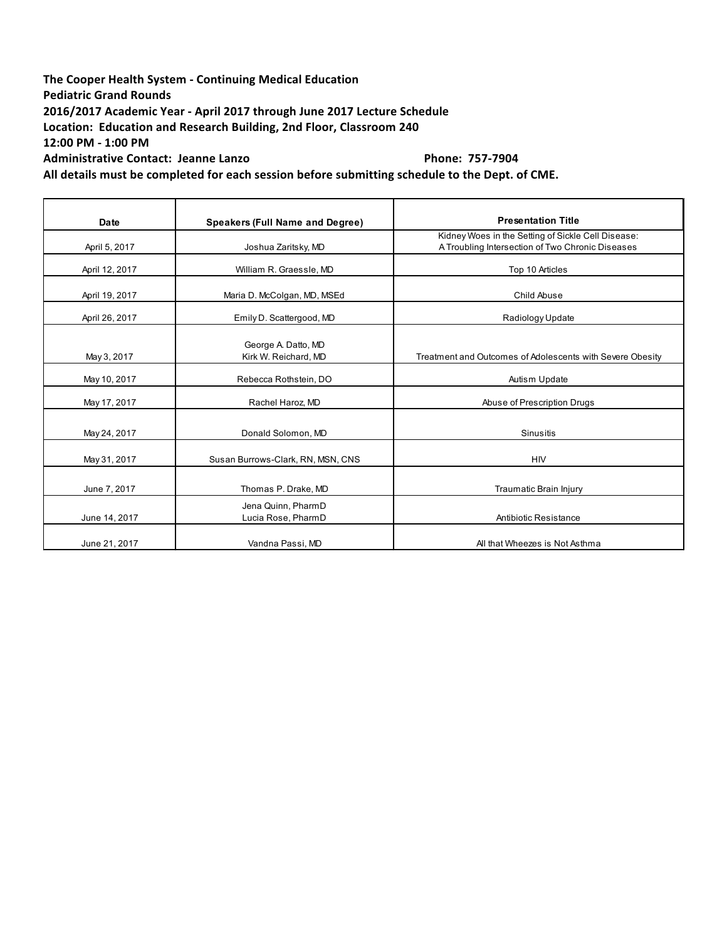## The Cooper Health System - Continuing Medical Education **Pediatric Grand Rounds 2016/2017 Academic Year - April 2017 through June 2017 Lecture Schedule** Location: Education and Research Building, 2nd Floor, Classroom 240 **12:00 PM - 1:00 PM**

Administrative Contact: Jeanne Lanzo **Bilanny Contact:** Contact: **Jeanne Lanzo Contact:** *CONTERENT* **Phone: 757-7904** 

| Date           | <b>Speakers (Full Name and Degree)</b>      | <b>Presentation Title</b>                                                                              |
|----------------|---------------------------------------------|--------------------------------------------------------------------------------------------------------|
| April 5, 2017  | Joshua Zaritsky, MD                         | Kidney Woes in the Setting of Sickle Cell Disease:<br>A Troubling Intersection of Two Chronic Diseases |
| April 12, 2017 | William R. Graessle, MD                     | Top 10 Articles                                                                                        |
| April 19, 2017 | Maria D. McColgan, MD, MSEd                 | Child Abuse                                                                                            |
| April 26, 2017 | Emily D. Scattergood, MD                    | Radiology Update                                                                                       |
| May 3, 2017    | George A. Datto, MD<br>Kirk W. Reichard, MD | Treatment and Outcomes of Adolescents with Severe Obesity                                              |
| May 10, 2017   | Rebecca Rothstein, DO                       | Autism Update                                                                                          |
| May 17, 2017   | Rachel Haroz, MD                            | Abuse of Prescription Drugs                                                                            |
| May 24, 2017   | Donald Solomon, MD                          | Sinusitis                                                                                              |
| May 31, 2017   | Susan Burrows-Clark, RN, MSN, CNS           | <b>HIV</b>                                                                                             |
| June 7, 2017   | Thomas P. Drake, MD                         | Traumatic Brain Injury                                                                                 |
| June 14, 2017  | Jena Quinn, PharmD<br>Lucia Rose, PharmD    | Antibiotic Resistance                                                                                  |
| June 21, 2017  | Vandna Passi, MD                            | All that Wheezes is Not Asthma                                                                         |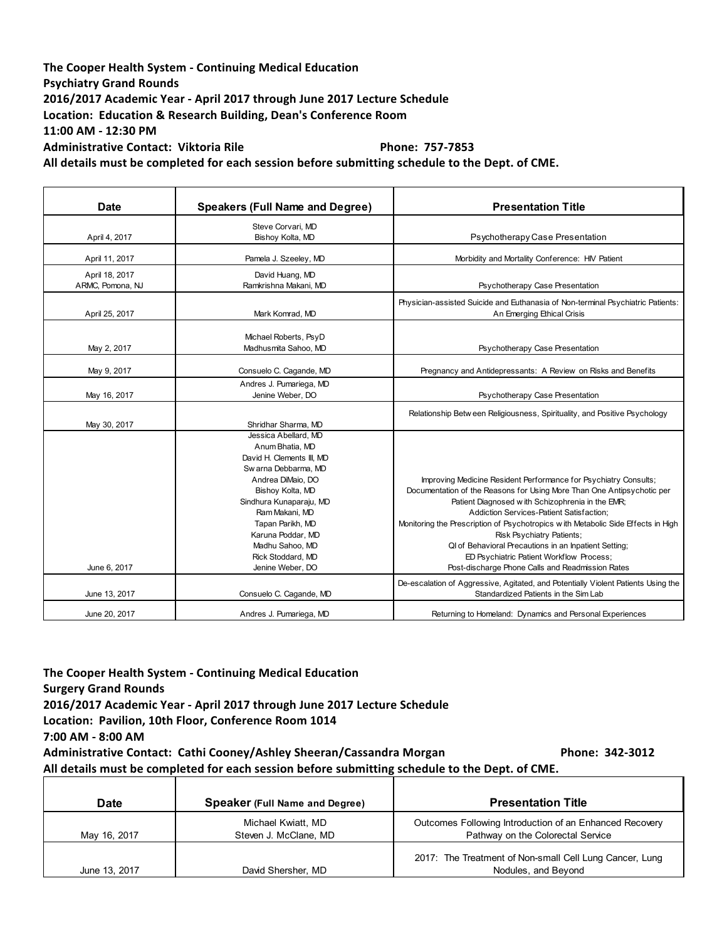# **The Cooper Health System - Continuing Medical Education Psychiatry Grand Rounds 2016/2017 Academic Year - April 2017 through June 2017 Lecture Schedule** Location: Education & Research Building, Dean's Conference Room **11:00 AM - 12:30 PM**

Administrative Contact: Viktoria Rile **Manual Contact:** Viktoria Rile **Nanual Contact:** Viktoria Rile

 $\mathbf{r}$ 

All details must be completed for each session before submitting schedule to the Dept. of CME.

| <b>Date</b>      | <b>Speakers (Full Name and Degree)</b>        | <b>Presentation Title</b>                                                                                            |
|------------------|-----------------------------------------------|----------------------------------------------------------------------------------------------------------------------|
|                  | Steve Corvari, MD                             |                                                                                                                      |
| April 4, 2017    | Bishoy Kolta, MD                              | Psychotherapy Case Presentation                                                                                      |
| April 11, 2017   | Pamela J. Szeeley, MD                         | Morbidity and Mortality Conference: HIV Patient                                                                      |
| April 18, 2017   | David Huang, MD                               |                                                                                                                      |
| ARMC, Pomona, NJ | Ramkrishna Makani, MD                         | Psychotherapy Case Presentation                                                                                      |
| April 25, 2017   | Mark Komrad, MD                               | Physician-assisted Suicide and Euthanasia of Non-terminal Psychiatric Patients:<br>An Emerging Ethical Crisis        |
| May 2, 2017      | Michael Roberts, PsyD<br>Madhusmita Sahoo, MD | Psychotherapy Case Presentation                                                                                      |
| May 9, 2017      | Consuelo C. Cagande, MD                       | Pregnancy and Antidepressants: A Review on Risks and Benefits                                                        |
| May 16, 2017     | Andres J. Pumariega, MD<br>Jenine Weber, DO   | Psychotherapy Case Presentation                                                                                      |
|                  |                                               | Relationship Betw een Religiousness, Spirituality, and Positive Psychology                                           |
| May 30, 2017     | Shridhar Sharma, MD                           |                                                                                                                      |
|                  | Jessica Abellard, MD                          |                                                                                                                      |
|                  | Anum Bhatia, MD                               |                                                                                                                      |
|                  | David H. Clements III, MD                     |                                                                                                                      |
|                  | Sw arna Debbarma, MD                          |                                                                                                                      |
|                  | Andrea DiMaio, DO                             | Improving Medicine Resident Performance for Psychiatry Consults;                                                     |
|                  | Bishoy Kolta, MD                              | Documentation of the Reasons for Using More Than One Antipsychotic per                                               |
|                  | Sindhura Kunaparaju, MD                       | Patient Diagnosed with Schizophrenia in the EMR;                                                                     |
|                  | Ram Makani, MD                                | Addiction Services-Patient Satisfaction;                                                                             |
|                  | Tapan Parikh, MD<br>Karuna Poddar, MD         | Monitoring the Prescription of Psychotropics with Metabolic Side Effects in High<br><b>Risk Psychiatry Patients;</b> |
|                  | Madhu Sahoo, MD                               | QI of Behavioral Precautions in an Inpatient Setting;                                                                |
|                  | Rick Stoddard, MD                             | ED Psychiatric Patient Workflow Process;                                                                             |
| June 6, 2017     | Jenine Weber, DO                              | Post-discharge Phone Calls and Readmission Rates                                                                     |
|                  |                                               | De-escalation of Aggressive, Agitated, and Potentially Violent Patients Using the                                    |
| June 13, 2017    | Consuelo C. Cagande, MD                       | Standardized Patients in the Sim Lab                                                                                 |
| June 20, 2017    | Andres J. Pumariega, MD                       | Returning to Homeland: Dynamics and Personal Experiences                                                             |

**The Cooper Health System - Continuing Medical Education Surgery Grand Rounds 2016/2017 Academic Year - April 2017 through June 2017 Lecture Schedule** Location: Pavilion, 10th Floor, Conference Room 1014 **7:00 AM - 8:00 AM** Administrative Contact: Cathi Cooney/Ashley Sheeran/Cassandra Morgan **1998** Phone: 342-3012

| <b>Date</b>   | <b>Speaker (Full Name and Degree)</b>       | <b>Presentation Title</b>                                                                    |
|---------------|---------------------------------------------|----------------------------------------------------------------------------------------------|
| May 16, 2017  | Michael Kwiatt, MD<br>Steven J. McClane, MD | Outcomes Following Introduction of an Enhanced Recovery<br>Pathway on the Colorectal Service |
| June 13, 2017 | David Shersher, MD                          | 2017: The Treatment of Non-small Cell Lung Cancer, Lung<br>Nodules, and Beyond               |